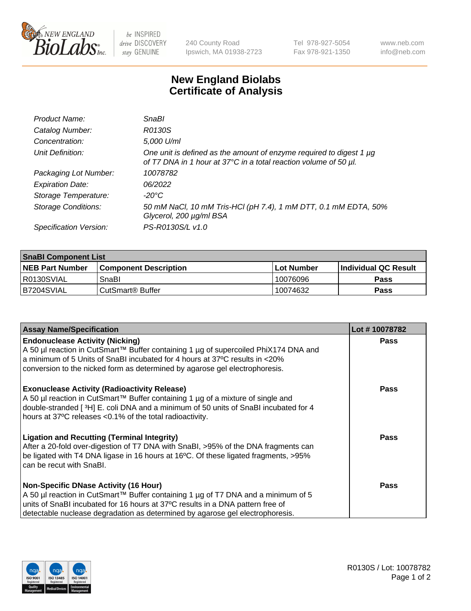

 $be$  INSPIRED drive DISCOVERY stay GENUINE

240 County Road Ipswich, MA 01938-2723 Tel 978-927-5054 Fax 978-921-1350 www.neb.com info@neb.com

## **New England Biolabs Certificate of Analysis**

| Product Name:              | SnaBl                                                                                                                                   |
|----------------------------|-----------------------------------------------------------------------------------------------------------------------------------------|
| Catalog Number:            | R0130S                                                                                                                                  |
| Concentration:             | 5,000 U/ml                                                                                                                              |
| Unit Definition:           | One unit is defined as the amount of enzyme required to digest 1 µg<br>of T7 DNA in 1 hour at 37°C in a total reaction volume of 50 µl. |
| Packaging Lot Number:      | 10078782                                                                                                                                |
| <b>Expiration Date:</b>    | 06/2022                                                                                                                                 |
| Storage Temperature:       | $-20^{\circ}$ C                                                                                                                         |
| <b>Storage Conditions:</b> | 50 mM NaCl, 10 mM Tris-HCl (pH 7.4), 1 mM DTT, 0.1 mM EDTA, 50%<br>Glycerol, 200 µg/ml BSA                                              |
| Specification Version:     | PS-R0130S/L v1.0                                                                                                                        |

| <b>SnaBI Component List</b> |                              |              |                       |  |
|-----------------------------|------------------------------|--------------|-----------------------|--|
| <b>NEB Part Number</b>      | <b>Component Description</b> | l Lot Number | ∣Individual QC Result |  |
| R0130SVIAL                  | SnaBl                        | 10076096     | Pass                  |  |
| B7204SVIAL                  | l CutSmart® Buffer           | 10074632     | Pass                  |  |

| <b>Assay Name/Specification</b>                                                                                                                                                                                                                                                                      | Lot #10078782 |
|------------------------------------------------------------------------------------------------------------------------------------------------------------------------------------------------------------------------------------------------------------------------------------------------------|---------------|
| <b>Endonuclease Activity (Nicking)</b><br>A 50 µl reaction in CutSmart™ Buffer containing 1 µg of supercoiled PhiX174 DNA and<br>a minimum of 5 Units of SnaBI incubated for 4 hours at 37°C results in <20%<br>conversion to the nicked form as determined by agarose gel electrophoresis.          | <b>Pass</b>   |
| <b>Exonuclease Activity (Radioactivity Release)</b><br>A 50 µl reaction in CutSmart™ Buffer containing 1 µg of a mixture of single and<br>double-stranded [3H] E. coli DNA and a minimum of 50 units of SnaBl incubated for 4<br>hours at 37°C releases <0.1% of the total radioactivity.            | Pass          |
| <b>Ligation and Recutting (Terminal Integrity)</b><br>After a 20-fold over-digestion of T7 DNA with SnaBI, >95% of the DNA fragments can<br>be ligated with T4 DNA ligase in 16 hours at 16°C. Of these ligated fragments, >95%<br>can be recut with SnaBI.                                          | Pass          |
| <b>Non-Specific DNase Activity (16 Hour)</b><br>A 50 µl reaction in CutSmart™ Buffer containing 1 µg of T7 DNA and a minimum of 5<br>units of SnaBI incubated for 16 hours at 37°C results in a DNA pattern free of<br>detectable nuclease degradation as determined by agarose gel electrophoresis. | Pass          |